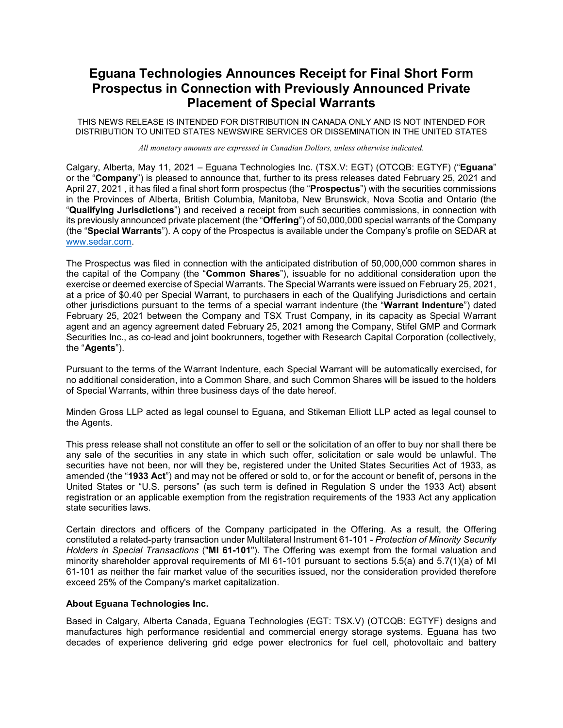## **Eguana Technologies Announces Receipt for Final Short Form Prospectus in Connection with Previously Announced Private Placement of Special Warrants**

THIS NEWS RELEASE IS INTENDED FOR DISTRIBUTION IN CANADA ONLY AND IS NOT INTENDED FOR DISTRIBUTION TO UNITED STATES NEWSWIRE SERVICES OR DISSEMINATION IN THE UNITED STATES

*All monetary amounts are expressed in Canadian Dollars, unless otherwise indicated.*

Calgary, Alberta, May 11, 2021 – Eguana Technologies Inc. (TSX.V: EGT) (OTCQB: EGTYF) ("**Eguana**" or the "**Company**") is pleased to announce that, further to its press releases dated February 25, 2021 and April 27, 2021 , it has filed a final short form prospectus (the "**Prospectus**") with the securities commissions in the Provinces of Alberta, British Columbia, Manitoba, New Brunswick, Nova Scotia and Ontario (the "**Qualifying Jurisdictions**") and received a receipt from such securities commissions, in connection with its previously announced private placement (the "**Offering**") of 50,000,000 special warrants of the Company (the "**Special Warrants**"). A copy of the Prospectus is available under the Company's profile on SEDAR at [www.sedar.com.](http://www.sedar.com/)

The Prospectus was filed in connection with the anticipated distribution of 50,000,000 common shares in the capital of the Company (the "**Common Shares**"), issuable for no additional consideration upon the exercise or deemed exercise of Special Warrants. The Special Warrants were issued on February 25, 2021, at a price of \$0.40 per Special Warrant, to purchasers in each of the Qualifying Jurisdictions and certain other jurisdictions pursuant to the terms of a special warrant indenture (the "**Warrant Indenture**") dated February 25, 2021 between the Company and TSX Trust Company, in its capacity as Special Warrant agent and an agency agreement dated February 25, 2021 among the Company, Stifel GMP and Cormark Securities Inc., as co-lead and joint bookrunners, together with Research Capital Corporation (collectively, the "**Agents**").

Pursuant to the terms of the Warrant Indenture, each Special Warrant will be automatically exercised, for no additional consideration, into a Common Share, and such Common Shares will be issued to the holders of Special Warrants, within three business days of the date hereof.

Minden Gross LLP acted as legal counsel to Eguana, and Stikeman Elliott LLP acted as legal counsel to the Agents.

This press release shall not constitute an offer to sell or the solicitation of an offer to buy nor shall there be any sale of the securities in any state in which such offer, solicitation or sale would be unlawful. The securities have not been, nor will they be, registered under the United States Securities Act of 1933, as amended (the "**1933 Act**") and may not be offered or sold to, or for the account or benefit of, persons in the United States or "U.S. persons" (as such term is defined in Regulation S under the 1933 Act) absent registration or an applicable exemption from the registration requirements of the 1933 Act any application state securities laws.

Certain directors and officers of the Company participated in the Offering. As a result, the Offering constituted a related-party transaction under Multilateral Instrument 61-101 - *Protection of Minority Security Holders in Special Transactions* ("**MI 61-101**"). The Offering was exempt from the formal valuation and minority shareholder approval requirements of MI 61-101 pursuant to sections 5.5(a) and 5.7(1)(a) of MI 61-101 as neither the fair market value of the securities issued, nor the consideration provided therefore exceed 25% of the Company's market capitalization.

## **About Eguana Technologies Inc.**

Based in Calgary, Alberta Canada, Eguana Technologies (EGT: TSX.V) (OTCQB: EGTYF) designs and manufactures high performance residential and commercial energy storage systems. Eguana has two decades of experience delivering grid edge power electronics for fuel cell, photovoltaic and battery